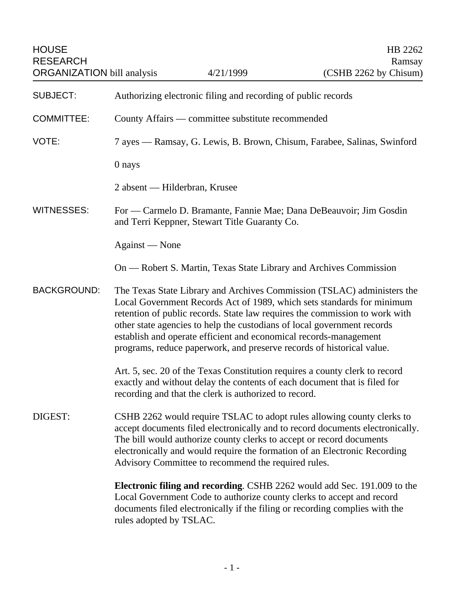| <b>HOUSE</b><br><b>RESEARCH</b><br><b>ORGANIZATION bill analysis</b> |                                                                                                                                                                                                                                                                                                                                                                                                                                                           | 4/21/1999 | HB 2262<br>Ramsay<br>(CSHB 2262 by Chisum) |
|----------------------------------------------------------------------|-----------------------------------------------------------------------------------------------------------------------------------------------------------------------------------------------------------------------------------------------------------------------------------------------------------------------------------------------------------------------------------------------------------------------------------------------------------|-----------|--------------------------------------------|
| <b>SUBJECT:</b>                                                      | Authorizing electronic filing and recording of public records                                                                                                                                                                                                                                                                                                                                                                                             |           |                                            |
| <b>COMMITTEE:</b>                                                    | County Affairs — committee substitute recommended                                                                                                                                                                                                                                                                                                                                                                                                         |           |                                            |
| VOTE:                                                                | 7 ayes — Ramsay, G. Lewis, B. Brown, Chisum, Farabee, Salinas, Swinford                                                                                                                                                                                                                                                                                                                                                                                   |           |                                            |
|                                                                      | 0 nays                                                                                                                                                                                                                                                                                                                                                                                                                                                    |           |                                            |
|                                                                      | 2 absent — Hilderbran, Krusee                                                                                                                                                                                                                                                                                                                                                                                                                             |           |                                            |
| <b>WITNESSES:</b>                                                    | For — Carmelo D. Bramante, Fannie Mae; Dana DeBeauvoir; Jim Gosdin<br>and Terri Keppner, Stewart Title Guaranty Co.                                                                                                                                                                                                                                                                                                                                       |           |                                            |
|                                                                      | Against — None                                                                                                                                                                                                                                                                                                                                                                                                                                            |           |                                            |
|                                                                      | On — Robert S. Martin, Texas State Library and Archives Commission                                                                                                                                                                                                                                                                                                                                                                                        |           |                                            |
| <b>BACKGROUND:</b>                                                   | The Texas State Library and Archives Commission (TSLAC) administers the<br>Local Government Records Act of 1989, which sets standards for minimum<br>retention of public records. State law requires the commission to work with<br>other state agencies to help the custodians of local government records<br>establish and operate efficient and economical records-management<br>programs, reduce paperwork, and preserve records of historical value. |           |                                            |
|                                                                      | Art. 5, sec. 20 of the Texas Constitution requires a county clerk to record<br>exactly and without delay the contents of each document that is filed for<br>recording and that the clerk is authorized to record.                                                                                                                                                                                                                                         |           |                                            |
| DIGEST:                                                              | CSHB 2262 would require TSLAC to adopt rules allowing county clerks to<br>accept documents filed electronically and to record documents electronically.<br>The bill would authorize county clerks to accept or record documents<br>electronically and would require the formation of an Electronic Recording<br>Advisory Committee to recommend the required rules.                                                                                       |           |                                            |
|                                                                      | <b>Electronic filing and recording.</b> CSHB 2262 would add Sec. 191.009 to the<br>Local Government Code to authorize county clerks to accept and record<br>documents filed electronically if the filing or recording complies with the<br>rules adopted by TSLAC.                                                                                                                                                                                        |           |                                            |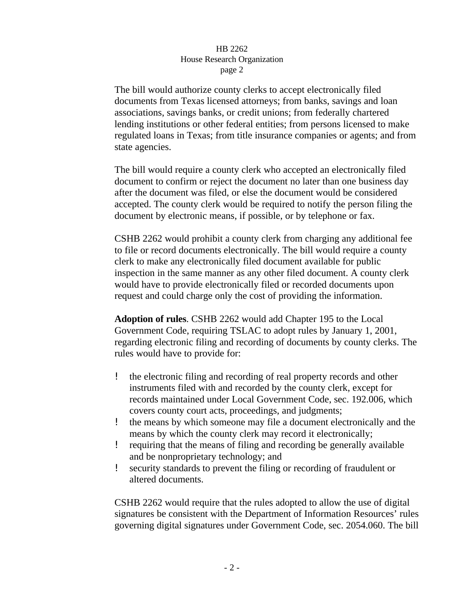The bill would authorize county clerks to accept electronically filed documents from Texas licensed attorneys; from banks, savings and loan associations, savings banks, or credit unions; from federally chartered lending institutions or other federal entities; from persons licensed to make regulated loans in Texas; from title insurance companies or agents; and from state agencies.

The bill would require a county clerk who accepted an electronically filed document to confirm or reject the document no later than one business day after the document was filed, or else the document would be considered accepted. The county clerk would be required to notify the person filing the document by electronic means, if possible, or by telephone or fax.

CSHB 2262 would prohibit a county clerk from charging any additional fee to file or record documents electronically. The bill would require a county clerk to make any electronically filed document available for public inspection in the same manner as any other filed document. A county clerk would have to provide electronically filed or recorded documents upon request and could charge only the cost of providing the information.

**Adoption of rules**. CSHB 2262 would add Chapter 195 to the Local Government Code, requiring TSLAC to adopt rules by January 1, 2001, regarding electronic filing and recording of documents by county clerks. The rules would have to provide for:

- ! the electronic filing and recording of real property records and other instruments filed with and recorded by the county clerk, except for records maintained under Local Government Code, sec. 192.006, which covers county court acts, proceedings, and judgments;
- ! the means by which someone may file a document electronically and the means by which the county clerk may record it electronically;
- ! requiring that the means of filing and recording be generally available and be nonproprietary technology; and
- ! security standards to prevent the filing or recording of fraudulent or altered documents.

CSHB 2262 would require that the rules adopted to allow the use of digital signatures be consistent with the Department of Information Resources' rules governing digital signatures under Government Code, sec. 2054.060. The bill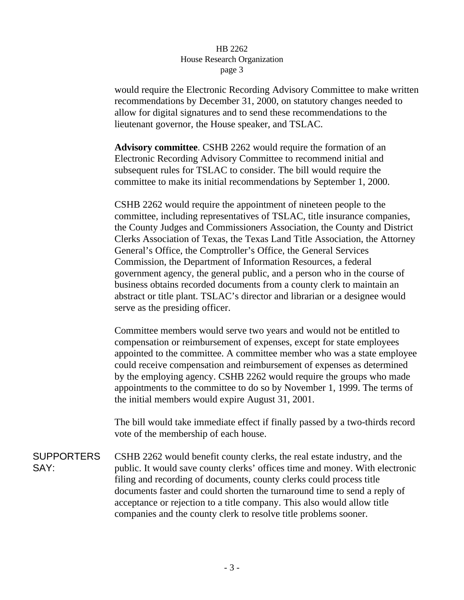would require the Electronic Recording Advisory Committee to make written recommendations by December 31, 2000, on statutory changes needed to allow for digital signatures and to send these recommendations to the lieutenant governor, the House speaker, and TSLAC.

**Advisory committee**. CSHB 2262 would require the formation of an Electronic Recording Advisory Committee to recommend initial and subsequent rules for TSLAC to consider. The bill would require the committee to make its initial recommendations by September 1, 2000.

CSHB 2262 would require the appointment of nineteen people to the committee, including representatives of TSLAC, title insurance companies, the County Judges and Commissioners Association, the County and District Clerks Association of Texas, the Texas Land Title Association, the Attorney General's Office, the Comptroller's Office, the General Services Commission, the Department of Information Resources, a federal government agency, the general public, and a person who in the course of business obtains recorded documents from a county clerk to maintain an abstract or title plant. TSLAC's director and librarian or a designee would serve as the presiding officer.

Committee members would serve two years and would not be entitled to compensation or reimbursement of expenses, except for state employees appointed to the committee. A committee member who was a state employee could receive compensation and reimbursement of expenses as determined by the employing agency. CSHB 2262 would require the groups who made appointments to the committee to do so by November 1, 1999. The terms of the initial members would expire August 31, 2001.

The bill would take immediate effect if finally passed by a two-thirds record vote of the membership of each house.

**SUPPORTERS** SAY: CSHB 2262 would benefit county clerks, the real estate industry, and the public. It would save county clerks' offices time and money. With electronic filing and recording of documents, county clerks could process title documents faster and could shorten the turnaround time to send a reply of acceptance or rejection to a title company. This also would allow title companies and the county clerk to resolve title problems sooner.